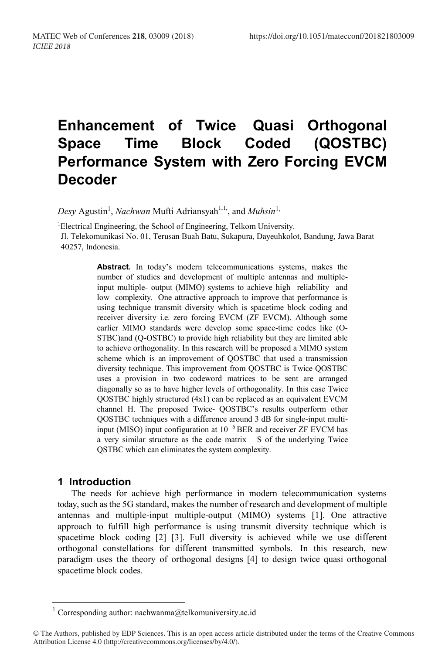# **Enhancement of Twice Quasi Orthogonal Space Time Block Coded (QOSTBC) Performance System with Zero Forcing EVCM Decoder**

Desy Agustin<sup>1</sup>, *Nachwan* Mufti Adriansyah<sup>1,1,</sup> and *Muhsin*<sup>1,</sup>

<sup>1</sup>Electrical Engineering, the School of Engineering, Telkom University.

Jl. Telekomunikasi No. 01, Terusan Buah Batu, Sukapura, Dayeuhkolot, Bandung, Jawa Barat 40257, Indonesia.

> **Abstract.** In today's modern telecommunications systems, makes the number of studies and development of multiple antennas and multipleinput multiple- output (MIMO) systems to achieve high reliability and low complexity. One attractive approach to improve that performance is using technique transmit diversity which is spacetime block coding and receiver diversity i.e. zero forcing EVCM (ZF EVCM). Although some earlier MIMO standards were develop some space-time codes like (O-STBC)and (Q-OSTBC) to provide high reliability but they are limited able to achieve orthogonality. In this research will be proposed a MIMO system scheme which is an improvement of QOSTBC that used a transmission diversity technique. This improvement from QOSTBC is Twice QOSTBC uses a provision in two codeword matrices to be sent are arranged diagonally so as to have higher levels of orthogonality. In this case Twice QOSTBC highly structured (4x1) can be replaced as an equivalent EVCM channel H. The proposed Twice- QOSTBC's results outperform other QOSTBC techniques with a difference around 3 dB for single-input multiinput (MISO) input configuration at 10<sup>−</sup>6 BER and receiver ZF EVCM has a very similar structure as the code matrix S of the underlying Twice QSTBC which can eliminates the system complexity.

# **1 Introduction**

The needs for achieve high performance in modern telecommunication systems today, such as the 5G standard, makes the number of research and development of multiple antennas and multiple-input multiple-output (MIMO) systems [1]. One attractive approach to fulfill high performance is using transmit diversity technique which is spacetime block coding [2] [3]. Full diversity is achieved while we use different orthogonal constellations for different transmitted symbols. In this research, new paradigm uses the theory of orthogonal designs [4] to design twice quasi orthogonal spacetime block codes.

Corresponding author: nachwanma@telkomuniversity.ac.id

<sup>©</sup> The Authors, published by EDP Sciences. This is an open access article distributed under the terms of the Creative Commons Attribution License 4.0 (http://creativecommons.org/licenses/by/4.0/).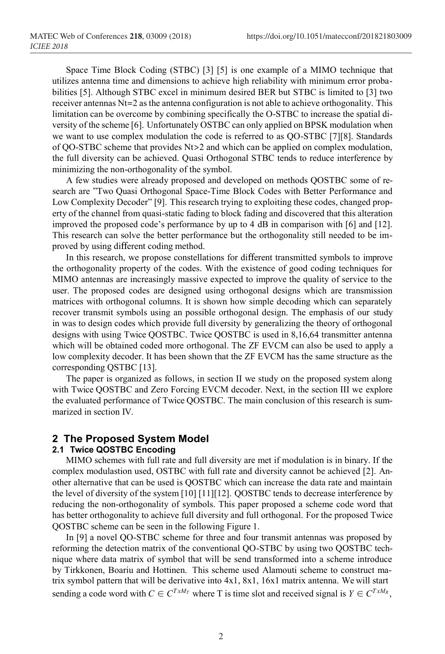Space Time Block Coding (STBC) [3] [5] is one example of a MIMO technique that utilizes antenna time and dimensions to achieve high reliability with minimum error probabilities [5]. Although STBC excel in minimum desired BER but STBC is limited to [3] two receiver antennas Nt=2 asthe antenna configuration is not able to achieve orthogonality. This limitation can be overcome by combining specifically the O-STBC to increase the spatial diversity of the scheme [6]. Unfortunately OSTBC can only applied on BPSK modulation when we want to use complex modulation the code is referred to as QO-STBC [7][8]. Standards of QO-STBC scheme that provides Nt>2 and which can be applied on complex modulation, the full diversity can be achieved. Quasi Orthogonal STBC tends to reduce interference by minimizing the non-orthogonality of the symbol.

A few studies were already proposed and developed on methods QOSTBC some of research are "Two Quasi Orthogonal Space-Time Block Codes with Better Performance and Low Complexity Decoder" [9]. This research trying to exploiting these codes, changed property of the channel from quasi-static fading to block fading and discovered that this alteration improved the proposed code's performance by up to 4 dB in comparison with [6] and [12]. This research can solve the better performance but the orthogonality still needed to be improved by using different coding method.

In this research, we propose constellations for different transmitted symbols to improve the orthogonality property of the codes. With the existence of good coding techniques for MIMO antennas are increasingly massive expected to improve the quality of service to the user. The proposed codes are designed using orthogonal designs which are transmission matrices with orthogonal columns. It is shown how simple decoding which can separately recover transmit symbols using an possible orthogonal design. The emphasis of our study in was to design codes which provide full diversity by generalizing the theory of orthogonal designs with using Twice QOSTBC. Twice QOSTBC is used in 8,16,64 transmitter antenna which will be obtained coded more orthogonal. The ZF EVCM can also be used to apply a low complexity decoder. It has been shown that the ZF EVCM has the same structure as the corresponding QSTBC [13].

The paper is organized as follows, in section II we study on the proposed system along with Twice QOSTBC and Zero Forcing EVCM decoder. Next, in the section III we explore the evaluated performance of Twice QOSTBC. The main conclusion of this research is summarized in section IV.

### **2 The Proposed System Model**

#### **2.1 Twice QOSTBC Encoding**

MIMO schemes with full rate and full diversity are met if modulation is in binary. If the complex modulastion used, OSTBC with full rate and diversity cannot be achieved [2]. Another alternative that can be used is QOSTBC which can increase the data rate and maintain the level of diversity of the system [10] [11][12]. QOSTBC tends to decrease interference by reducing the non-orthogonality of symbols. This paper proposed a scheme code word that has better orthogonality to achieve full diversity and full orthogonal. For the proposed Twice QOSTBC scheme can be seen in the following Figure 1.

In [9] a novel QO-STBC scheme for three and four transmit antennas was proposed by reforming the detection matrix of the conventional QO-STBC by using two QOSTBC technique where data matrix of symbol that will be send transformed into a scheme introduce by Tirkkonen, Boariu and Hottinen. This scheme used Alamouti scheme to construct matrix symbol pattern that will be derivative into 4x1, 8x1, 16x1 matrix antenna. We will start sending a code word with  $C \in C^{T x M_T}$  where T is time slot and received signal is  $Y \in C^{T x M_R}$ ,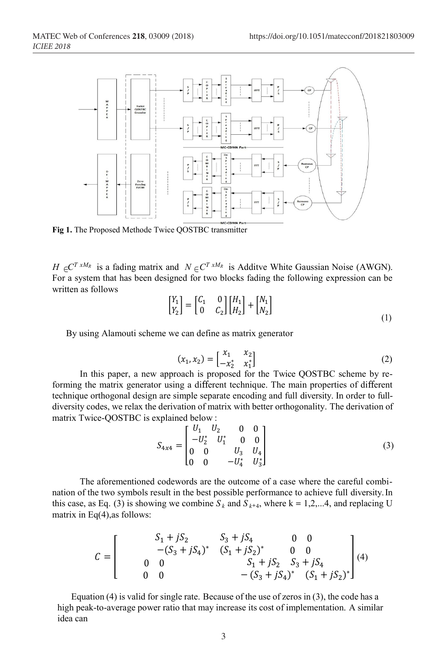

**Fig 1.** The Proposed Methode Twice QOSTBC transmitter

*H*  $\in$   $C^{T x M_R}$  is a fading matrix and  $N \in C^{T x M_R}$  is Additve White Gaussian Noise (AWGN). For a system that has been designed for two blocks fading the following expression can be written as follows

$$
\begin{bmatrix} Y_1 \\ Y_2 \end{bmatrix} = \begin{bmatrix} C_1 & 0 \\ 0 & C_2 \end{bmatrix} \begin{bmatrix} H_1 \\ H_2 \end{bmatrix} + \begin{bmatrix} N_1 \\ N_2 \end{bmatrix}
$$
\n(1)

By using Alamouti scheme we can define as matrix generator

$$
(x_1, x_2) = \begin{bmatrix} x_1 & x_2 \\ -x_2^* & x_1^* \end{bmatrix}
$$
 (2)

In this paper, a new approach is proposed for the Twice QOSTBC scheme by reforming the matrix generator using a different technique. The main properties of different technique orthogonal design are simple separate encoding and full diversity. In order to fulldiversity codes, we relax the derivation of matrix with better orthogonality. The derivation of matrix Twice-QOSTBC is explained below :

$$
S_{4x4} = \begin{bmatrix} U_1 & U_2 & 0 & 0 \\ -U_2^* & U_1^* & 0 & 0 \\ 0 & 0 & U_3 & U_4 \\ 0 & 0 & -U_4^* & U_3^* \end{bmatrix}
$$
 (3)

The aforementioned codewords are the outcome of a case where the careful combination of the two symbols result in the best possible performance to achieve full diversity.In this case, as Eq. (3) is showing we combine  $S_k$  and  $S_{k+4}$ , where k = 1,2,...4, and replacing U matrix in Eq(4),as follows:

$$
C = \begin{bmatrix} S_1 + jS_2 & S_3 + jS_4 & 0 & 0 \\ -(S_3 + jS_4)^* & (S_1 + jS_2)^* & 0 & 0 \\ 0 & 0 & S_1 + jS_2 & S_3 + jS_4 \\ 0 & 0 & -(S_3 + jS_4)^* & (S_1 + jS_2)^* \end{bmatrix} (4)
$$

Equation (4) is valid for single rate. Because of the use of zeros in (3), the code has a high peak-to-average power ratio that may increase its cost of implementation. A similar idea can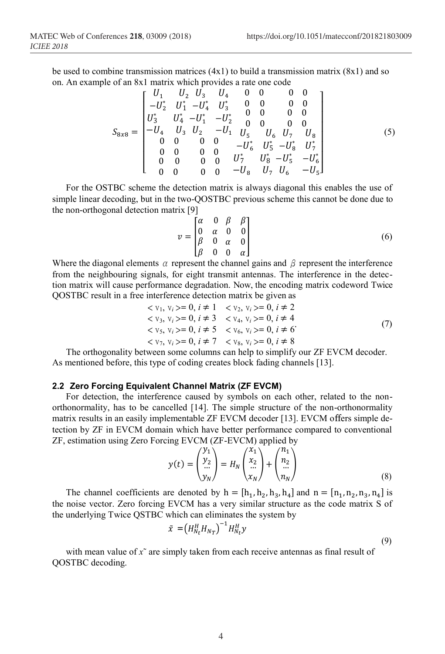be used to combine transmission matrices  $(4x1)$  to build a transmission matrix  $(8x1)$  and so on. An example of an 8x1 matrix which provides a rate one code

$$
S_{8x8} = \begin{bmatrix} U_1 & U_2 & U_3 & U_4 & 0 & 0 & 0 & 0 \\ -U_2^* & U_1^* & -U_4^* & U_3^* & 0 & 0 & 0 & 0 \\ U_3^* & U_4^* & -U_1^* & -U_2^* & 0 & 0 & 0 & 0 \\ -U_4 & U_3 & U_2 & -U_1 & U_5 & U_6 & U_7 & U_8 \\ 0 & 0 & 0 & 0 & -U_6^* & U_5^* & -U_8^* & U_7^* \\ 0 & 0 & 0 & 0 & U_7^* & U_8^* & -U_5^* & -U_6^* \\ 0 & 0 & 0 & 0 & -U_8 & U_7 & U_6 & -U_5 \end{bmatrix}
$$
(5)

For the OSTBC scheme the detection matrix is always diagonal this enables the use of simple linear decoding, but in the two-QOSTBC previous scheme this cannot be done due to the non-orthogonal detection matrix [9]

$$
v = \begin{bmatrix} \alpha & 0 & \beta & \beta \\ 0 & \alpha & 0 & 0 \\ \beta & 0 & \alpha & 0 \\ \beta & 0 & 0 & \alpha \end{bmatrix}
$$
 (6)

Where the diagonal elements  $\alpha$  represent the channel gains and  $\beta$  represent the interference from the neighbouring signals, for eight transmit antennas. The interference in the detection matrix will cause performance degradation. Now, the encoding matrix codeword Twice QOSTBC result in a free interference detection matrix be given as

$$
\langle v_1, v_i \rangle = 0, i \neq 1 \quad \langle v_2, v_i \rangle = 0, i \neq 2
$$
  
\n
$$
\langle v_3, v_i \rangle = 0, i \neq 3 \quad \langle v_4, v_i \rangle = 0, i \neq 4
$$
  
\n
$$
\langle v_5, v_i \rangle = 0, i \neq 5 \quad \langle v_6, v_i \rangle = 0, i \neq 6
$$
  
\n
$$
\langle v_7, v_i \rangle = 0, i \neq 7 \quad \langle v_8, v_i \rangle = 0, i \neq 8
$$
\n(7)

The orthogonality between some columns can help to simplify our ZF EVCM decoder. As mentioned before, this type of coding creates block fading channels [13].

#### **2.2 Zero Forcing Equivalent Channel Matrix (ZF EVCM)**

For detection, the interference caused by symbols on each other, related to the nonorthonormality, has to be cancelled [14]. The simple structure of the non-orthonormality matrix results in an easily implementable ZF EVCM decoder [13]. EVCM offers simple detection by ZF in EVCM domain which have better performance compared to conventional ZF, estimation using Zero Forcing EVCM (ZF-EVCM) applied by

$$
y(t) = \begin{pmatrix} y_1 \\ y_2 \\ \dots \\ y_N \end{pmatrix} = H_N \begin{pmatrix} x_1 \\ x_2 \\ \dots \\ x_N \end{pmatrix} + \begin{pmatrix} n_1 \\ n_2 \\ \dots \\ n_N \end{pmatrix}
$$
 (8)

The channel coefficients are denoted by  $h = [h_1, h_2, h_3, h_4]$  and  $n = [n_1, n_2, n_3, n_4]$  is the noise vector. Zero forcing EVCM has a very similar structure as the code matrix S of the underlying Twice QSTBC which can eliminates the system by

$$
\tilde{x} = \left(H_{N_t}^H H_{N_T}\right)^{-1} H_{N_t}^H y \tag{9}
$$

with mean value of  $x<sup>α</sup>$  are simply taken from each receive antennas as final result of QOSTBC decoding.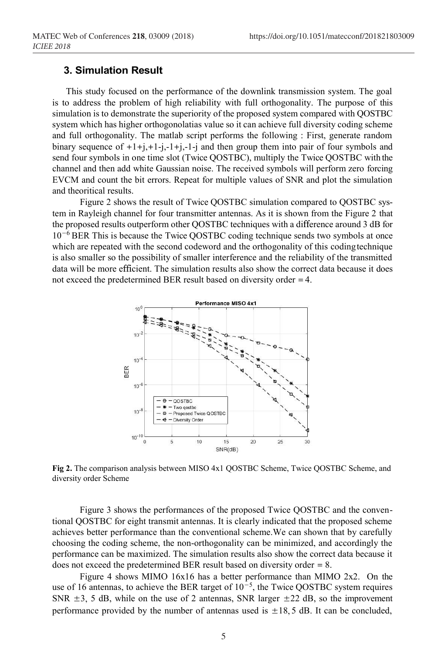## **3. Simulation Result**

This study focused on the performance of the downlink transmission system. The goal is to address the problem of high reliability with full orthogonality. The purpose of this simulation is to demonstrate the superiority of the proposed system compared with QOSTBC system which has higher orthogonolatias value so it can achieve full diversity coding scheme and full orthogonality. The matlab script performs the following : First, generate random binary sequence of  $+1+j,+1-j,-1+j$  and then group them into pair of four symbols and send four symbols in one time slot (Twice QOSTBC), multiply the Twice QOSTBC with the channel and then add white Gaussian noise. The received symbols will perform zero forcing EVCM and count the bit errors. Repeat for multiple values of SNR and plot the simulation and theoritical results.

Figure 2 shows the result of Twice QOSTBC simulation compared to QOSTBC system in Rayleigh channel for four transmitter antennas. As it is shown from the Figure 2 that the proposed results outperform other QOSTBC techniques with a difference around 3 dB for 10<sup>−</sup>6 BER This is because the Twice QOSTBC coding technique sends two symbols at once which are repeated with the second codeword and the orthogonality of this codingtechnique is also smaller so the possibility of smaller interference and the reliability of the transmitted data will be more efficient. The simulation results also show the correct data because it does not exceed the predetermined BER result based on diversity order =4.



**Fig 2.** The comparison analysis between MISO 4x1 QOSTBC Scheme, Twice QOSTBC Scheme, and diversity order Scheme

Figure 3 shows the performances of the proposed Twice QOSTBC and the conventional QOSTBC for eight transmit antennas. It is clearly indicated that the proposed scheme achieves better performance than the conventional scheme.We can shown that by carefully choosing the coding scheme, the non-orthogonality can be minimized, and accordingly the performance can be maximized. The simulation results also show the correct data because it does not exceed the predetermined BER result based on diversity order = 8.

Figure 4 shows MIMO 16x16 has a better performance than MIMO 2x2. On the use of 16 antennas, to achieve the BER target of  $10^{-5}$ , the Twice QOSTBC system requires SNR  $\pm$ 3, 5 dB, while on the use of 2 antennas, SNR larger  $\pm$ 22 dB, so the improvement performance provided by the number of antennas used is  $\pm 18$ , 5 dB. It can be concluded,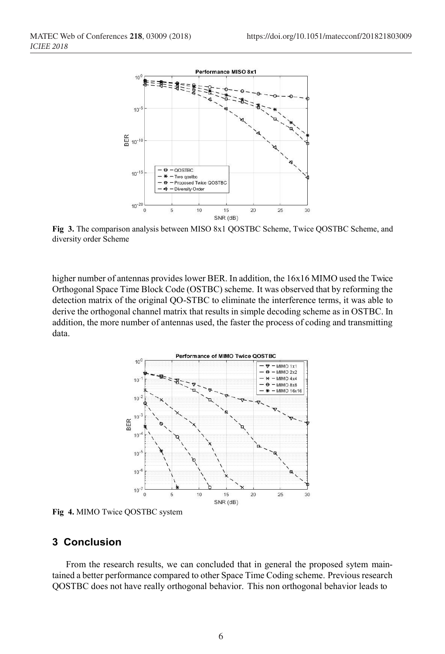

**Fig 3.** The comparison analysis between MISO 8x1 QOSTBC Scheme, Twice QOSTBC Scheme, and diversity order Scheme

higher number of antennas provides lower BER. In addition, the  $16x16$  MIMO used the Twice Orthogonal Space Time Block Code (OSTBC) scheme. It was observed that by reforming the detection matrix of the original QO-STBC to eliminate the interference terms, it was able to derive the orthogonal channel matrix that results in simple decoding scheme as in OSTBC. In addition, the more number of antennas used, the faster the process of coding and transmitting data.



**Fig 4.** MIMO Twice QOSTBC system

## **3 Conclusion**

From the research results, we can concluded that in general the proposed sytem maintained a better performance compared to other Space Time Coding scheme. Previous research QOSTBC does not have really orthogonal behavior. This non orthogonal behavior leads to